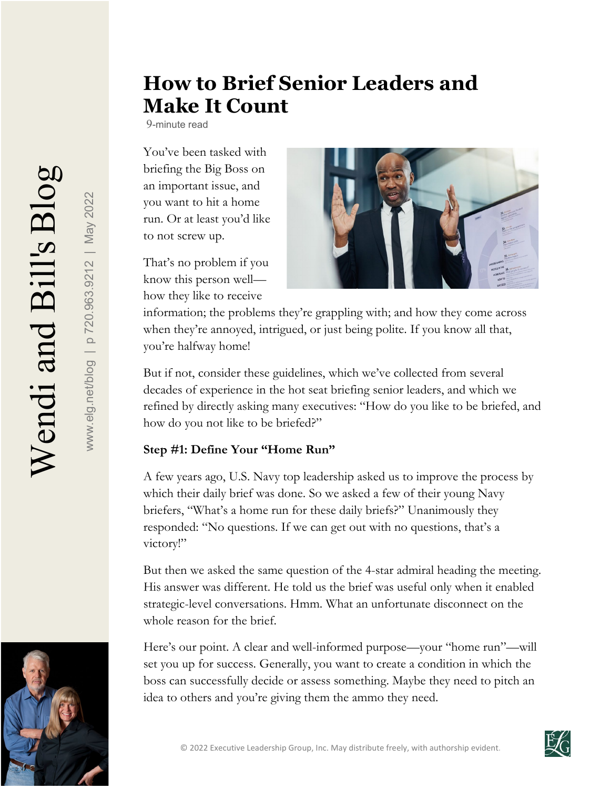www.elg.net/blog | p 720.963.9212 | May 2022

www.elg.net/blog | p 720.963.9212 | May 2022

# **How to Brief Senior Leaders and Make It Count**

9-minute read

You've been tasked with briefing the Big Boss on an important issue, and you want to hit a home run. Or at least you'd like to not screw up.

That's no problem if you know this person well how they like to receive



information; the problems they're grappling with; and how they come across when they're annoyed, intrigued, or just being polite. If you know all that, you're halfway home!

But if not, consider these guidelines, which we've collected from several decades of experience in the hot seat briefing senior leaders, and which we refined by directly asking many executives: "How do you like to be briefed, and how do you not like to be briefed?"

#### **Step #1: Define Your "Home Run"**

A few years ago, U.S. Navy top leadership asked us to improve the process by which their daily brief was done. So we asked a few of their young Navy briefers, "What's a home run for these daily briefs?" Unanimously they responded: "No questions. If we can get out with no questions, that's a victory!"

But then we asked the same question of the 4-star admiral heading the meeting. His answer was different. He told us the brief was useful only when it enabled strategic-level conversations. Hmm. What an unfortunate disconnect on the whole reason for the brief.

Here's our point. A clear and well-informed purpose—your "home run"—will set you up for success. Generally, you want to create a condition in which the boss can successfully decide or assess something. Maybe they need to pitch an idea to others and you're giving them the ammo they need.



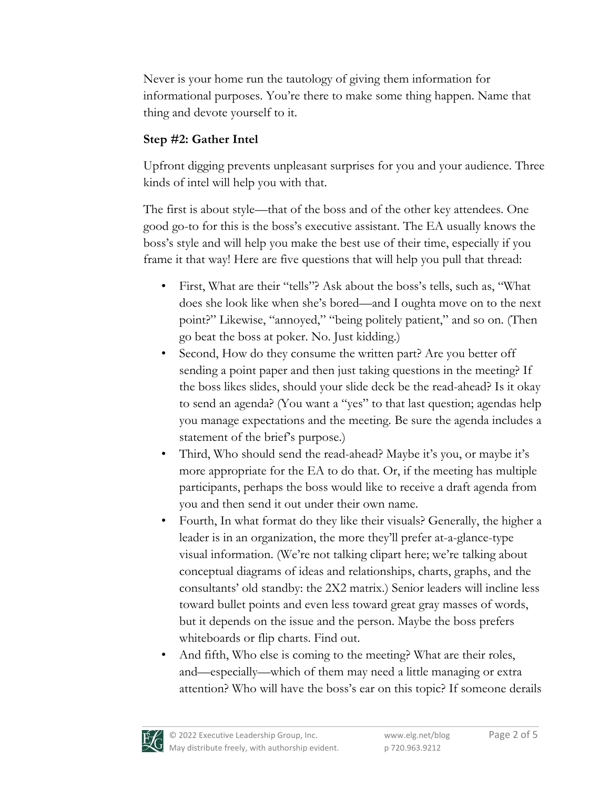Never is your home run the tautology of giving them information for informational purposes. You're there to make some thing happen. Name that thing and devote yourself to it.

## **Step #2: Gather Intel**

Upfront digging prevents unpleasant surprises for you and your audience. Three kinds of intel will help you with that.

The first is about style—that of the boss and of the other key attendees. One good go-to for this is the boss's executive assistant. The EA usually knows the boss's style and will help you make the best use of their time, especially if you frame it that way! Here are five questions that will help you pull that thread:

- First, What are their "tells"? Ask about the boss's tells, such as, "What does she look like when she's bored—and I oughta move on to the next point?" Likewise, "annoyed," "being politely patient," and so on. (Then go beat the boss at poker. No. Just kidding.)
- Second, How do they consume the written part? Are you better off sending a point paper and then just taking questions in the meeting? If the boss likes slides, should your slide deck be the read-ahead? Is it okay to send an agenda? (You want a "yes" to that last question; agendas help you manage expectations and the meeting. Be sure the agenda includes a statement of the brief's purpose.)
- Third, Who should send the read-ahead? Maybe it's you, or maybe it's more appropriate for the EA to do that. Or, if the meeting has multiple participants, perhaps the boss would like to receive a draft agenda from you and then send it out under their own name.
- Fourth, In what format do they like their visuals? Generally, the higher a leader is in an organization, the more they'll prefer at-a-glance-type visual information. (We're not talking clipart here; we're talking about conceptual diagrams of ideas and relationships, charts, graphs, and the consultants' old standby: the 2X2 matrix.) Senior leaders will incline less toward bullet points and even less toward great gray masses of words, but it depends on the issue and the person. Maybe the boss prefers whiteboards or flip charts. Find out.
- And fifth, Who else is coming to the meeting? What are their roles, and—especially—which of them may need a little managing or extra attention? Who will have the boss's ear on this topic? If someone derails

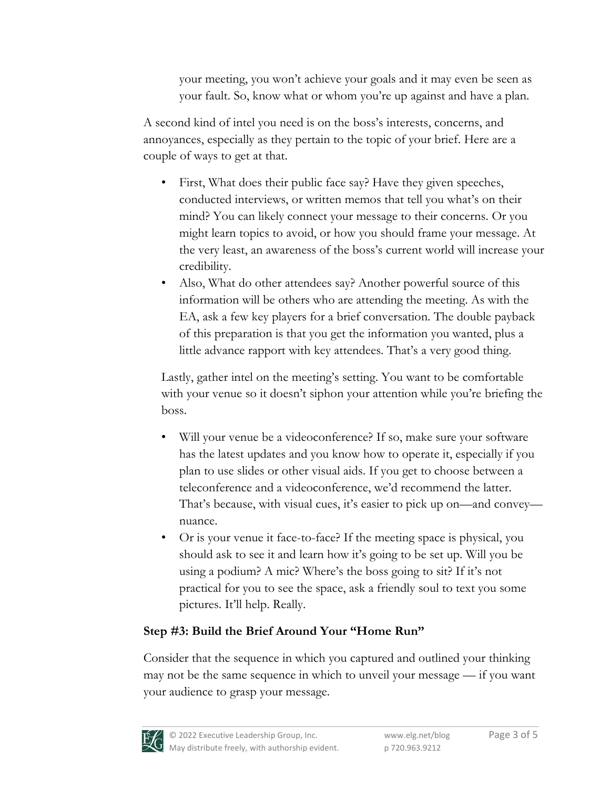your meeting, you won't achieve your goals and it may even be seen as your fault. So, know what or whom you're up against and have a plan.

A second kind of intel you need is on the boss's interests, concerns, and annoyances, especially as they pertain to the topic of your brief. Here are a couple of ways to get at that.

- First, What does their public face say? Have they given speeches, conducted interviews, or written memos that tell you what's on their mind? You can likely connect your message to their concerns. Or you might learn topics to avoid, or how you should frame your message. At the very least, an awareness of the boss's current world will increase your credibility.
- Also, What do other attendees say? Another powerful source of this information will be others who are attending the meeting. As with the EA, ask a few key players for a brief conversation. The double payback of this preparation is that you get the information you wanted, plus a little advance rapport with key attendees. That's a very good thing.

Lastly, gather intel on the meeting's setting. You want to be comfortable with your venue so it doesn't siphon your attention while you're briefing the boss.

- Will your venue be a videoconference? If so, make sure your software has the latest updates and you know how to operate it, especially if you plan to use slides or other visual aids. If you get to choose between a teleconference and a videoconference, we'd recommend the latter. That's because, with visual cues, it's easier to pick up on—and convey nuance.
- Or is your venue it face-to-face? If the meeting space is physical, you should ask to see it and learn how it's going to be set up. Will you be using a podium? A mic? Where's the boss going to sit? If it's not practical for you to see the space, ask a friendly soul to text you some pictures. It'll help. Really.

### **Step #3: Build the Brief Around Your "Home Run"**

Consider that the sequence in which you captured and outlined your thinking may not be the same sequence in which to unveil your message — if you want your audience to grasp your message.

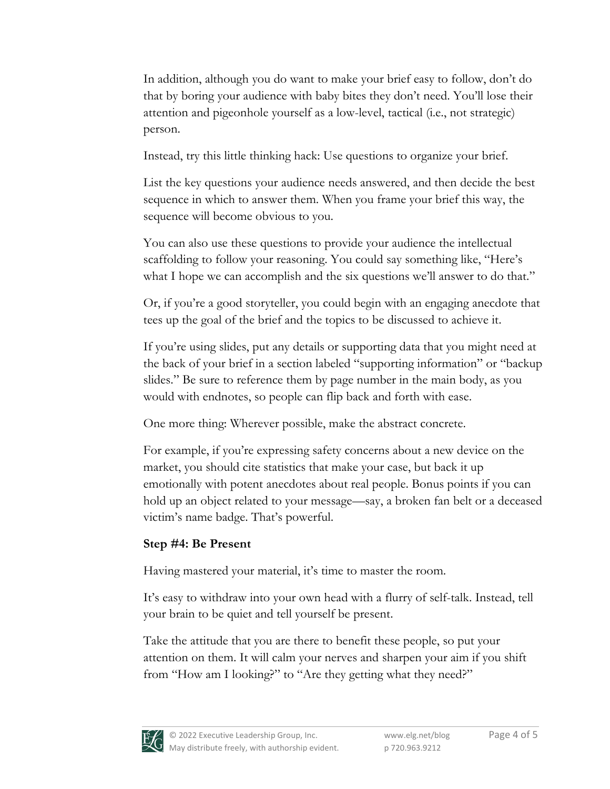In addition, although you do want to make your brief easy to follow, don't do that by boring your audience with baby bites they don't need. You'll lose their attention and pigeonhole yourself as a low-level, tactical (i.e., not strategic) person.

Instead, try this little thinking hack: Use questions to organize your brief.

List the key questions your audience needs answered, and then decide the best sequence in which to answer them. When you frame your brief this way, the sequence will become obvious to you.

You can also use these questions to provide your audience the intellectual scaffolding to follow your reasoning. You could say something like, "Here's what I hope we can accomplish and the six questions we'll answer to do that."

Or, if you're a good storyteller, you could begin with an engaging anecdote that tees up the goal of the brief and the topics to be discussed to achieve it.

If you're using slides, put any details or supporting data that you might need at the back of your brief in a section labeled "supporting information" or "backup slides." Be sure to reference them by page number in the main body, as you would with endnotes, so people can flip back and forth with ease.

One more thing: Wherever possible, make the abstract concrete.

For example, if you're expressing safety concerns about a new device on the market, you should cite statistics that make your case, but back it up emotionally with potent anecdotes about real people. Bonus points if you can hold up an object related to your message—say, a broken fan belt or a deceased victim's name badge. That's powerful.

## **Step #4: Be Present**

Having mastered your material, it's time to master the room.

It's easy to withdraw into your own head with a flurry of self-talk. Instead, tell your brain to be quiet and tell yourself be present.

Take the attitude that you are there to benefit these people, so put your attention on them. It will calm your nerves and sharpen your aim if you shift from "How am I looking?" to "Are they getting what they need?"